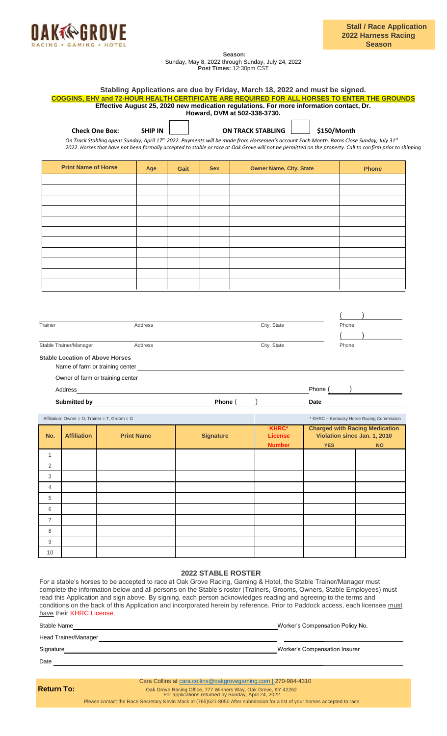

**Season:** Sunday, May 8, 2022 through Sunday, July 24, 2022 **Post Times:** 12:30pm CST

| <b>Check One Box:</b><br><b>Print Name of Horse</b>                                                                                                          | <b>SHIP IN</b><br>2022. Horses that have not been formally accepted to stable or race at Oak Grove will not be permitted on the property. Call to confirm prior to shipping<br>Age |      |                  | <b>ON TRACK STABLING</b>        |            | \$150/Month                                                                                                                                          |
|--------------------------------------------------------------------------------------------------------------------------------------------------------------|------------------------------------------------------------------------------------------------------------------------------------------------------------------------------------|------|------------------|---------------------------------|------------|------------------------------------------------------------------------------------------------------------------------------------------------------|
|                                                                                                                                                              |                                                                                                                                                                                    |      |                  |                                 |            |                                                                                                                                                      |
|                                                                                                                                                              |                                                                                                                                                                                    |      |                  |                                 |            | On Track Stabling opens Sunday, April 17 <sup>th</sup> 2022. Payments will be made from Horsemen's account Each Month. Barns Close Sunday, July 31st |
|                                                                                                                                                              |                                                                                                                                                                                    |      |                  |                                 |            |                                                                                                                                                      |
|                                                                                                                                                              |                                                                                                                                                                                    | Gait | <b>Sex</b>       | <b>Owner Name, City, State</b>  |            | <b>Phone</b>                                                                                                                                         |
|                                                                                                                                                              |                                                                                                                                                                                    |      |                  |                                 |            |                                                                                                                                                      |
|                                                                                                                                                              |                                                                                                                                                                                    |      |                  |                                 |            |                                                                                                                                                      |
|                                                                                                                                                              |                                                                                                                                                                                    |      |                  |                                 |            |                                                                                                                                                      |
|                                                                                                                                                              |                                                                                                                                                                                    |      |                  |                                 |            |                                                                                                                                                      |
|                                                                                                                                                              |                                                                                                                                                                                    |      |                  |                                 |            |                                                                                                                                                      |
|                                                                                                                                                              |                                                                                                                                                                                    |      |                  |                                 |            |                                                                                                                                                      |
|                                                                                                                                                              |                                                                                                                                                                                    |      |                  |                                 |            |                                                                                                                                                      |
|                                                                                                                                                              |                                                                                                                                                                                    |      |                  |                                 |            |                                                                                                                                                      |
|                                                                                                                                                              |                                                                                                                                                                                    |      |                  |                                 |            |                                                                                                                                                      |
| Trainer                                                                                                                                                      | Address                                                                                                                                                                            |      |                  | City, State                     |            | Phone                                                                                                                                                |
|                                                                                                                                                              |                                                                                                                                                                                    |      |                  |                                 |            |                                                                                                                                                      |
| Stable Trainer/Manager                                                                                                                                       |                                                                                                                                                                                    |      |                  |                                 |            |                                                                                                                                                      |
|                                                                                                                                                              | Address                                                                                                                                                                            |      |                  | City, State                     |            | Phone                                                                                                                                                |
|                                                                                                                                                              |                                                                                                                                                                                    |      |                  |                                 |            |                                                                                                                                                      |
| Name of farm or training center                                                                                                                              |                                                                                                                                                                                    |      |                  |                                 |            |                                                                                                                                                      |
| Address                                                                                                                                                      |                                                                                                                                                                                    |      |                  |                                 | Phone      |                                                                                                                                                      |
| Submitted by                                                                                                                                                 |                                                                                                                                                                                    |      | Phone $($        |                                 | Date       |                                                                                                                                                      |
|                                                                                                                                                              |                                                                                                                                                                                    |      |                  |                                 |            | * KHRC - Kentucky Horse Racing Commission                                                                                                            |
|                                                                                                                                                              |                                                                                                                                                                                    |      |                  | <b>KHRC*</b>                    |            | <b>Charged with Racing Medication</b>                                                                                                                |
| <b>Affiliation</b>                                                                                                                                           | <b>Print Name</b>                                                                                                                                                                  |      | <b>Signature</b> | <b>License</b><br><b>Number</b> | <b>YES</b> | Violation since Jan. 1, 2010<br><b>NO</b>                                                                                                            |
|                                                                                                                                                              |                                                                                                                                                                                    |      |                  |                                 |            |                                                                                                                                                      |
|                                                                                                                                                              |                                                                                                                                                                                    |      |                  |                                 |            |                                                                                                                                                      |
|                                                                                                                                                              |                                                                                                                                                                                    |      |                  |                                 |            |                                                                                                                                                      |
|                                                                                                                                                              |                                                                                                                                                                                    |      |                  |                                 |            |                                                                                                                                                      |
|                                                                                                                                                              |                                                                                                                                                                                    |      |                  |                                 |            |                                                                                                                                                      |
|                                                                                                                                                              |                                                                                                                                                                                    |      |                  |                                 |            |                                                                                                                                                      |
| <b>Stable Location of Above Horses</b><br>Affiliation: Owner = $O$ , Trainer = T, Groom = G<br>No.<br>1<br>2<br>3<br>4<br>5<br>6<br>$\overline{7}$<br>8<br>9 |                                                                                                                                                                                    |      |                  |                                 |            |                                                                                                                                                      |

Cara Collins a[t cara.collins@oakgrovegaming.com | 2](mailto:cara.collins@oakgrovegaming.com%20%7C)70-984-4310

**Return To:** Oak Grove Racing Office, 777 Winners Way, Oak Grove, KY 42262<br>For applications returned by Sunday, April 24, 2022.

Please contact the Race Secretary Kevin Mack at (765)621-8050 After submission for a list of your horses accepted to race.